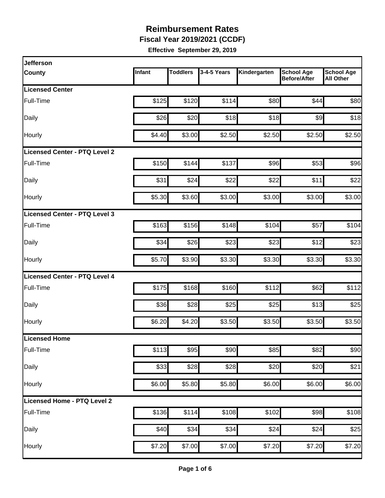**Fiscal Year 2019/2021 (CCDF)**

| <b>Jefferson</b>                     |        |                 |             |              |                                          |                                       |
|--------------------------------------|--------|-----------------|-------------|--------------|------------------------------------------|---------------------------------------|
| <b>County</b>                        | Infant | <b>Toddlers</b> | 3-4-5 Years | Kindergarten | <b>School Age</b><br><b>Before/After</b> | <b>School Age</b><br><b>All Other</b> |
| <b>Licensed Center</b>               |        |                 |             |              |                                          |                                       |
| Full-Time                            | \$125  | \$120           | \$114       | \$80         | \$44                                     | \$80                                  |
| Daily                                | \$26   | \$20            | \$18        | \$18         | \$9                                      | \$18                                  |
| Hourly                               | \$4.40 | \$3.00          | \$2.50      | \$2.50       | \$2.50                                   | \$2.50                                |
| <b>Licensed Center - PTQ Level 2</b> |        |                 |             |              |                                          |                                       |
| Full-Time                            | \$150  | \$144           | \$137       | \$96         | \$53                                     | \$96                                  |
| Daily                                | \$31   | \$24            | \$22        | \$22         | \$11                                     | \$22                                  |
| Hourly                               | \$5.30 | \$3.60          | \$3.00      | \$3.00       | \$3.00                                   | \$3.00                                |
| Licensed Center - PTQ Level 3        |        |                 |             |              |                                          |                                       |
| Full-Time                            | \$163  | \$156           | \$148       | \$104        | \$57                                     | \$104                                 |
| Daily                                | \$34   | \$26            | \$23        | \$23         | \$12                                     | \$23                                  |
| Hourly                               | \$5.70 | \$3.90          | \$3.30      | \$3.30       | \$3.30                                   | \$3.30                                |
| <b>Licensed Center - PTQ Level 4</b> |        |                 |             |              |                                          |                                       |
| Full-Time                            | \$175  | \$168           | \$160       | \$112        | \$62                                     | \$112                                 |
| Daily                                | \$36   | \$28            | \$25        | \$25         | \$13                                     | \$25                                  |
| Hourly                               | \$6.20 | \$4.20          | \$3.50      | \$3.50       | \$3.50                                   | \$3.50                                |
| <b>Licensed Home</b>                 |        |                 |             |              |                                          |                                       |
| Full-Time                            | \$113  | \$95            | \$90        | \$85         | \$82                                     | \$90                                  |
| Daily                                | \$33   | \$28            | \$28        | \$20         | \$20                                     | \$21                                  |
| Hourly                               | \$6.00 | \$5.80          | \$5.80      | \$6.00       | \$6.00                                   | \$6.00                                |
| Licensed Home - PTQ Level 2          |        |                 |             |              |                                          |                                       |
| Full-Time                            | \$136  | \$114           | \$108       | \$102        | \$98                                     | \$108                                 |
| Daily                                | \$40   | \$34            | \$34        | \$24         | \$24                                     | \$25                                  |
| Hourly                               | \$7.20 | \$7.00          | \$7.00      | \$7.20       | \$7.20                                   | \$7.20                                |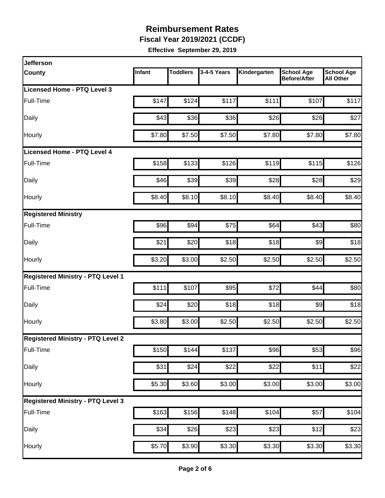**Fiscal Year 2019/2021 (CCDF)**

| <b>Jefferson</b>                         |        |                 |             |                    |                                          |                                       |
|------------------------------------------|--------|-----------------|-------------|--------------------|------------------------------------------|---------------------------------------|
| <b>County</b>                            | Infant | <b>Toddlers</b> | 3-4-5 Years | Kindergarten       | <b>School Age</b><br><b>Before/After</b> | <b>School Age</b><br><b>All Other</b> |
| Licensed Home - PTQ Level 3              |        |                 |             |                    |                                          |                                       |
| Full-Time                                | \$147  | \$124           | \$117       | \$111              | \$107                                    | \$117                                 |
| Daily                                    | \$43   | \$36            | \$36        | \$26               | \$26                                     | \$27                                  |
| Hourly                                   | \$7.80 | \$7.50          | \$7.50      | \$7.80             | \$7.80                                   | \$7.80                                |
| <b>Licensed Home - PTQ Level 4</b>       |        |                 |             |                    |                                          |                                       |
| Full-Time                                | \$158  | \$133           | \$126       | \$119              | \$115                                    | \$126                                 |
| Daily                                    | \$46   | \$39            | \$39        | \$28               | \$28                                     | \$29                                  |
| Hourly                                   | \$8.40 | \$8.10          | \$8.10      | \$8.40             | \$8.40                                   | \$8.40                                |
| <b>Registered Ministry</b>               |        |                 |             |                    |                                          |                                       |
| Full-Time                                | \$96   | \$94            | \$75        | \$64               | \$43                                     | \$80                                  |
| Daily                                    | \$21   | \$20            | \$18        | \$18               | $\frac{1}{2}$                            | \$18                                  |
| Hourly                                   | \$3.20 | \$3.00          | \$2.50      | \$2.50             | \$2.50                                   | \$2.50                                |
| <b>Registered Ministry - PTQ Level 1</b> |        |                 |             |                    |                                          |                                       |
| Full-Time                                | \$111  | \$107           | \$95        | \$72               | \$44                                     | \$80                                  |
| Daily                                    | \$24   | \$20            | \$18        | \$18               | $\frac{1}{2}$                            | \$18                                  |
| Hourly                                   | \$3.80 | \$3.00          | \$2.50      | \$2.50             | \$2.50                                   | \$2.50                                |
| <b>Registered Ministry - PTQ Level 2</b> |        |                 |             |                    |                                          |                                       |
| Full-Time                                | \$150  | \$144           | \$137       | \$96               | $\overline{$}53$                         | \$96                                  |
| Daily                                    | \$31   | \$24            | \$22        | \$22               | \$11                                     | \$22                                  |
| Hourly                                   | \$5.30 | \$3.60          | \$3.00      | \$3.00             | \$3.00                                   | \$3.00                                |
| <b>Registered Ministry - PTQ Level 3</b> |        |                 |             |                    |                                          |                                       |
| Full-Time                                | \$163  | \$156           | \$148       | \$104              | \$57                                     | \$104                                 |
| Daily                                    | \$34   | \$26            | \$23        | \$23               | \$12                                     | \$23                                  |
| Hourly                                   | \$5.70 | \$3.90          | \$3.30      | $\overline{$3.30}$ | \$3.30                                   | $\overline{$}3.30$                    |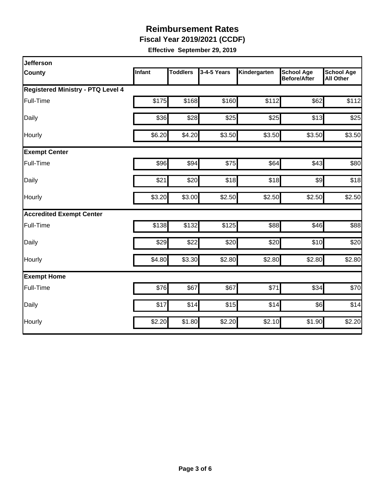**Fiscal Year 2019/2021 (CCDF)**

| <b>Jefferson</b>                         |        |                 |             |              |                                          |                                       |
|------------------------------------------|--------|-----------------|-------------|--------------|------------------------------------------|---------------------------------------|
| <b>County</b>                            | Infant | <b>Toddlers</b> | 3-4-5 Years | Kindergarten | <b>School Age</b><br><b>Before/After</b> | <b>School Age</b><br><b>All Other</b> |
| <b>Registered Ministry - PTQ Level 4</b> |        |                 |             |              |                                          |                                       |
| Full-Time                                | \$175  | \$168           | \$160       | \$112        | \$62                                     | \$112                                 |
| Daily                                    | \$36   | \$28            | \$25        | \$25         | \$13                                     | \$25                                  |
| Hourly                                   | \$6.20 | \$4.20          | \$3.50      | \$3.50       | \$3.50                                   | \$3.50                                |
| <b>Exempt Center</b>                     |        |                 |             |              |                                          |                                       |
| Full-Time                                | \$96   | \$94            | \$75        | \$64         | \$43                                     | \$80                                  |
| Daily                                    | \$21   | \$20            | \$18        | \$18         | $\frac{1}{2}$                            | \$18                                  |
| Hourly                                   | \$3.20 | \$3.00          | \$2.50      | \$2.50       | \$2.50                                   | \$2.50                                |
| <b>Accredited Exempt Center</b>          |        |                 |             |              |                                          |                                       |
| Full-Time                                | \$138  | \$132           | \$125       | \$88         | \$46                                     | \$88                                  |
| Daily                                    | \$29   | \$22            | \$20        | \$20         | \$10                                     | \$20                                  |
| Hourly                                   | \$4.80 | \$3.30          | \$2.80      | \$2.80       | \$2.80                                   | \$2.80                                |
| <b>Exempt Home</b>                       |        |                 |             |              |                                          |                                       |
| Full-Time                                | \$76   | \$67            | \$67        | \$71         | \$34                                     | \$70                                  |
| Daily                                    | \$17   | \$14            | \$15        | \$14         | \$6]                                     | \$14                                  |
| Hourly                                   | \$2.20 | \$1.80          | \$2.20      | \$2.10       | \$1.90                                   | \$2.20                                |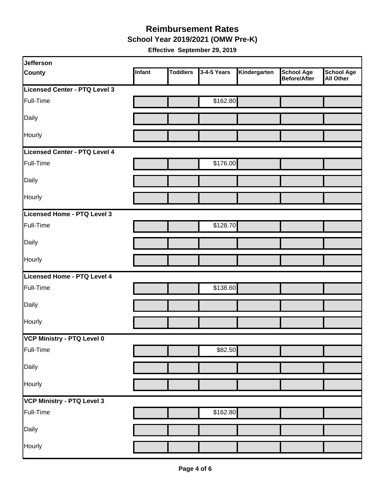**School Year 2019/2021 (OMW Pre-K)**

| Jefferson                     |        |                 |             |              |                                   |                                       |
|-------------------------------|--------|-----------------|-------------|--------------|-----------------------------------|---------------------------------------|
| <b>County</b>                 | Infant | <b>Toddlers</b> | 3-4-5 Years | Kindergarten | <b>School Age</b><br>Before/After | <b>School Age</b><br><b>All Other</b> |
| Licensed Center - PTQ Level 3 |        |                 |             |              |                                   |                                       |
| Full-Time                     |        |                 | \$162.80    |              |                                   |                                       |
| Daily                         |        |                 |             |              |                                   |                                       |
| Hourly                        |        |                 |             |              |                                   |                                       |
| Licensed Center - PTQ Level 4 |        |                 |             |              |                                   |                                       |
| Full-Time                     |        |                 | \$176.00    |              |                                   |                                       |
| Daily                         |        |                 |             |              |                                   |                                       |
| Hourly                        |        |                 |             |              |                                   |                                       |
| Licensed Home - PTQ Level 3   |        |                 |             |              |                                   |                                       |
| Full-Time                     |        |                 | \$128.70    |              |                                   |                                       |
| Daily                         |        |                 |             |              |                                   |                                       |
| Hourly                        |        |                 |             |              |                                   |                                       |
| Licensed Home - PTQ Level 4   |        |                 |             |              |                                   |                                       |
| Full-Time                     |        |                 | \$138.60    |              |                                   |                                       |
| Daily                         |        |                 |             |              |                                   |                                       |
| Hourly                        |        |                 |             |              |                                   |                                       |
| VCP Ministry - PTQ Level 0    |        |                 |             |              |                                   |                                       |
| Full-Time                     |        |                 | \$82.50     |              |                                   |                                       |
| Daily                         |        |                 |             |              |                                   |                                       |
| Hourly                        |        |                 |             |              |                                   |                                       |
| VCP Ministry - PTQ Level 3    |        |                 |             |              |                                   |                                       |
| Full-Time                     |        |                 | \$162.80    |              |                                   |                                       |
| Daily                         |        |                 |             |              |                                   |                                       |
| Hourly                        |        |                 |             |              |                                   |                                       |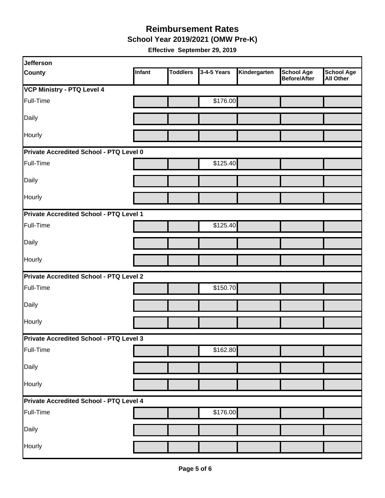**School Year 2019/2021 (OMW Pre-K)**

| Jefferson                                      |        |                 |             |              |                                          |                                       |  |  |
|------------------------------------------------|--------|-----------------|-------------|--------------|------------------------------------------|---------------------------------------|--|--|
| <b>County</b>                                  | Infant | <b>Toddlers</b> | 3-4-5 Years | Kindergarten | <b>School Age</b><br><b>Before/After</b> | <b>School Age</b><br><b>All Other</b> |  |  |
| <b>VCP Ministry - PTQ Level 4</b>              |        |                 |             |              |                                          |                                       |  |  |
| Full-Time                                      |        |                 | \$176.00    |              |                                          |                                       |  |  |
| Daily                                          |        |                 |             |              |                                          |                                       |  |  |
| Hourly                                         |        |                 |             |              |                                          |                                       |  |  |
| Private Accredited School - PTQ Level 0        |        |                 |             |              |                                          |                                       |  |  |
| Full-Time                                      |        |                 | \$125.40    |              |                                          |                                       |  |  |
| Daily                                          |        |                 |             |              |                                          |                                       |  |  |
| Hourly                                         |        |                 |             |              |                                          |                                       |  |  |
| Private Accredited School - PTQ Level 1        |        |                 |             |              |                                          |                                       |  |  |
| Full-Time                                      |        |                 | \$125.40    |              |                                          |                                       |  |  |
| Daily                                          |        |                 |             |              |                                          |                                       |  |  |
| Hourly                                         |        |                 |             |              |                                          |                                       |  |  |
| <b>Private Accredited School - PTQ Level 2</b> |        |                 |             |              |                                          |                                       |  |  |
| Full-Time                                      |        |                 | \$150.70    |              |                                          |                                       |  |  |
| Daily                                          |        |                 |             |              |                                          |                                       |  |  |
| Hourly                                         |        |                 |             |              |                                          |                                       |  |  |
| Private Accredited School - PTQ Level 3        |        |                 |             |              |                                          |                                       |  |  |
| Full-Time                                      |        |                 | \$162.80    |              |                                          |                                       |  |  |
| Daily                                          |        |                 |             |              |                                          |                                       |  |  |
| Hourly                                         |        |                 |             |              |                                          |                                       |  |  |
| Private Accredited School - PTQ Level 4        |        |                 |             |              |                                          |                                       |  |  |
| Full-Time                                      |        |                 | \$176.00    |              |                                          |                                       |  |  |
| Daily                                          |        |                 |             |              |                                          |                                       |  |  |
| Hourly                                         |        |                 |             |              |                                          |                                       |  |  |